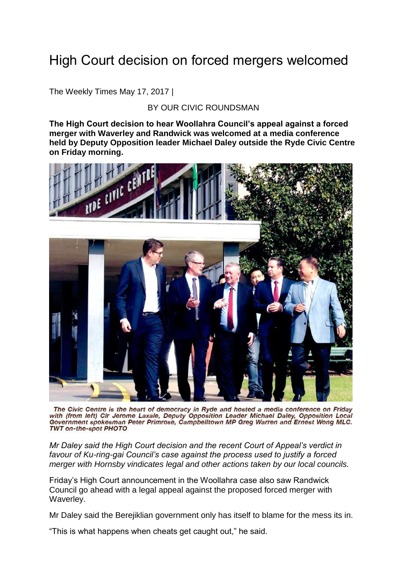## High Court decision on forced mergers welcomed

The Weekly Times May 17, 2017 |

## BY OUR CIVIC ROUNDSMAN

**The High Court decision to hear Woollahra Council's appeal against a forced merger with Waverley and Randwick was welcomed at a media conference held by Deputy Opposition leader Michael Daley outside the Ryde Civic Centre on Friday morning.** 



The Civic Centre is the heart of democracy in Ryde and hosted a media conference on Friday with (from left) Cir Jerome Laxale, Deputy Opposition Leader Michael Daley, Opposition Local Government spokesman Peter Primrose, Campbelltown MP Greg Warren and Ernest Wong MLC. TWT on-the-spot PHOTO

*Mr Daley said the High Court decision and the recent Court of Appeal's verdict in favour of Ku-ring-gai Council's case against the process used to justify a forced merger with Hornsby vindicates legal and other actions taken by our local councils.*

Friday's High Court announcement in the Woollahra case also saw Randwick Council go ahead with a legal appeal against the proposed forced merger with Waverley.

Mr Daley said the Berejiklian government only has itself to blame for the mess its in.

"This is what happens when cheats get caught out," he said.